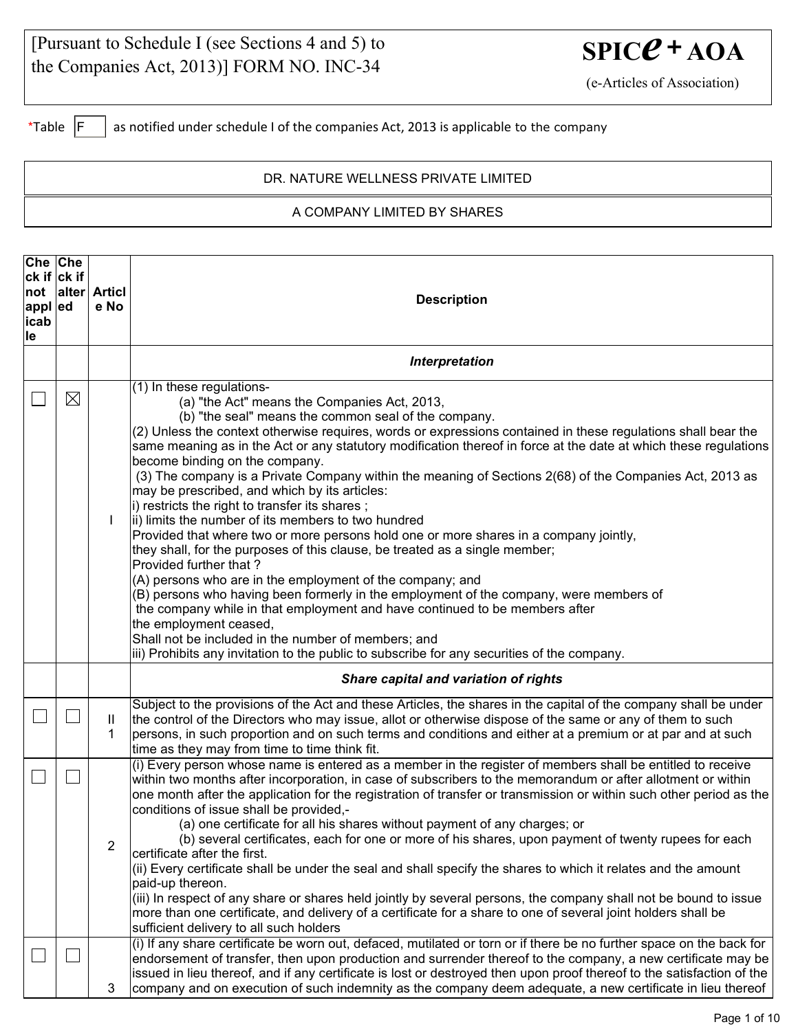| [Pursuant to Schedule I (see Sections 4 and 5) to |
|---------------------------------------------------|
| the Companies Act, 2013)] FORM NO. INC-34         |

 $SPICC + AOA$ 

(e-Articles of Association)

\*Table  $\boxed{F}$  as notified under schedule I of the companies Act, 2013 is applicable to the company

## DR. NATURE WELLNESS PRIVATE LIMITED

## A COMPANY LIMITED BY SHARES

| Che Che<br>$ ck $ if $ ck $ if<br>appl ed<br>icab<br>lle |             | not alter Articl<br>e No | <b>Description</b>                                                                                                                                                                                                                                                                                                                                                                                                                                                                                                                                                                                                                                                                                                                                                                                                                                                                                                                                                                                                                                                                                                                                                                                                                                                                                    |  |  |  |
|----------------------------------------------------------|-------------|--------------------------|-------------------------------------------------------------------------------------------------------------------------------------------------------------------------------------------------------------------------------------------------------------------------------------------------------------------------------------------------------------------------------------------------------------------------------------------------------------------------------------------------------------------------------------------------------------------------------------------------------------------------------------------------------------------------------------------------------------------------------------------------------------------------------------------------------------------------------------------------------------------------------------------------------------------------------------------------------------------------------------------------------------------------------------------------------------------------------------------------------------------------------------------------------------------------------------------------------------------------------------------------------------------------------------------------------|--|--|--|
|                                                          |             |                          | <b>Interpretation</b>                                                                                                                                                                                                                                                                                                                                                                                                                                                                                                                                                                                                                                                                                                                                                                                                                                                                                                                                                                                                                                                                                                                                                                                                                                                                                 |  |  |  |
|                                                          | $\boxtimes$ |                          | (1) In these regulations-<br>(a) "the Act" means the Companies Act, 2013,<br>(b) "the seal" means the common seal of the company.<br>(2) Unless the context otherwise requires, words or expressions contained in these regulations shall bear the<br>same meaning as in the Act or any statutory modification thereof in force at the date at which these regulations<br>become binding on the company.<br>(3) The company is a Private Company within the meaning of Sections 2(68) of the Companies Act, 2013 as<br>may be prescribed, and which by its articles:<br>i) restricts the right to transfer its shares;<br>ii) limits the number of its members to two hundred<br>Provided that where two or more persons hold one or more shares in a company jointly,<br>they shall, for the purposes of this clause, be treated as a single member;<br>Provided further that?<br>(A) persons who are in the employment of the company; and<br>(B) persons who having been formerly in the employment of the company, were members of<br>the company while in that employment and have continued to be members after<br>the employment ceased,<br>Shall not be included in the number of members; and<br>iii) Prohibits any invitation to the public to subscribe for any securities of the company. |  |  |  |
|                                                          |             |                          | Share capital and variation of rights                                                                                                                                                                                                                                                                                                                                                                                                                                                                                                                                                                                                                                                                                                                                                                                                                                                                                                                                                                                                                                                                                                                                                                                                                                                                 |  |  |  |
|                                                          |             | Ш<br>1                   | Subject to the provisions of the Act and these Articles, the shares in the capital of the company shall be under<br>the control of the Directors who may issue, allot or otherwise dispose of the same or any of them to such<br>persons, in such proportion and on such terms and conditions and either at a premium or at par and at such<br>time as they may from time to time think fit.                                                                                                                                                                                                                                                                                                                                                                                                                                                                                                                                                                                                                                                                                                                                                                                                                                                                                                          |  |  |  |
|                                                          |             | $\overline{2}$           | (i) Every person whose name is entered as a member in the register of members shall be entitled to receive<br>within two months after incorporation, in case of subscribers to the memorandum or after allotment or within<br>one month after the application for the registration of transfer or transmission or within such other period as the<br>conditions of issue shall be provided,-<br>(a) one certificate for all his shares without payment of any charges; or<br>(b) several certificates, each for one or more of his shares, upon payment of twenty rupees for each<br>certificate after the first.<br>(ii) Every certificate shall be under the seal and shall specify the shares to which it relates and the amount<br>paid-up thereon.<br>(iii) In respect of any share or shares held jointly by several persons, the company shall not be bound to issue<br>more than one certificate, and delivery of a certificate for a share to one of several joint holders shall be<br>sufficient delivery to all such holders                                                                                                                                                                                                                                                               |  |  |  |
|                                                          |             | 3                        | (i) If any share certificate be worn out, defaced, mutilated or torn or if there be no further space on the back for<br>endorsement of transfer, then upon production and surrender thereof to the company, a new certificate may be<br>issued in lieu thereof, and if any certificate is lost or destroyed then upon proof thereof to the satisfaction of the<br>company and on execution of such indemnity as the company deem adequate, a new certificate in lieu thereof                                                                                                                                                                                                                                                                                                                                                                                                                                                                                                                                                                                                                                                                                                                                                                                                                          |  |  |  |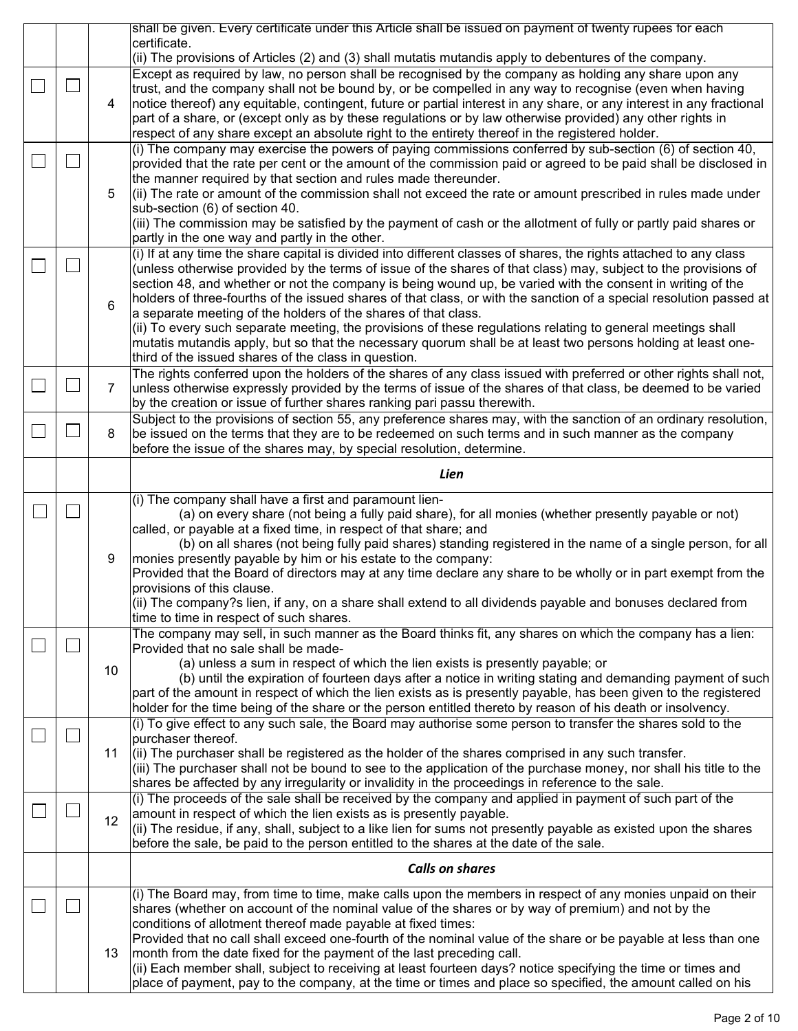|        |                | shall be given. Every certificate under this Article shall be issued on payment of twenty rupees for each                                                                                                                          |  |  |  |  |  |  |
|--------|----------------|------------------------------------------------------------------------------------------------------------------------------------------------------------------------------------------------------------------------------------|--|--|--|--|--|--|
|        |                | certificate.                                                                                                                                                                                                                       |  |  |  |  |  |  |
|        |                | (ii) The provisions of Articles (2) and (3) shall mutatis mutandis apply to debentures of the company.                                                                                                                             |  |  |  |  |  |  |
|        |                | Except as required by law, no person shall be recognised by the company as holding any share upon any<br>trust, and the company shall not be bound by, or be compelled in any way to recognise (even when having                   |  |  |  |  |  |  |
|        | 4              | notice thereof) any equitable, contingent, future or partial interest in any share, or any interest in any fractional                                                                                                              |  |  |  |  |  |  |
|        |                | part of a share, or (except only as by these regulations or by law otherwise provided) any other rights in                                                                                                                         |  |  |  |  |  |  |
|        |                | respect of any share except an absolute right to the entirety thereof in the registered holder.                                                                                                                                    |  |  |  |  |  |  |
|        |                | (i) The company may exercise the powers of paying commissions conferred by sub-section (6) of section 40,                                                                                                                          |  |  |  |  |  |  |
|        |                | provided that the rate per cent or the amount of the commission paid or agreed to be paid shall be disclosed in                                                                                                                    |  |  |  |  |  |  |
|        |                | the manner required by that section and rules made thereunder.                                                                                                                                                                     |  |  |  |  |  |  |
|        | 5              | $\vert$ (ii) The rate or amount of the commission shall not exceed the rate or amount prescribed in rules made under                                                                                                               |  |  |  |  |  |  |
|        |                | sub-section (6) of section 40.                                                                                                                                                                                                     |  |  |  |  |  |  |
|        |                | (iii) The commission may be satisfied by the payment of cash or the allotment of fully or partly paid shares or<br>partly in the one way and partly in the other.                                                                  |  |  |  |  |  |  |
|        |                | (i) If at any time the share capital is divided into different classes of shares, the rights attached to any class                                                                                                                 |  |  |  |  |  |  |
|        |                | (unless otherwise provided by the terms of issue of the shares of that class) may, subject to the provisions of                                                                                                                    |  |  |  |  |  |  |
|        |                | section 48, and whether or not the company is being wound up, be varied with the consent in writing of the                                                                                                                         |  |  |  |  |  |  |
|        |                | holders of three-fourths of the issued shares of that class, or with the sanction of a special resolution passed at                                                                                                                |  |  |  |  |  |  |
|        | 6              | a separate meeting of the holders of the shares of that class.                                                                                                                                                                     |  |  |  |  |  |  |
|        |                | (ii) To every such separate meeting, the provisions of these regulations relating to general meetings shall                                                                                                                        |  |  |  |  |  |  |
|        |                | mutatis mutandis apply, but so that the necessary quorum shall be at least two persons holding at least one-                                                                                                                       |  |  |  |  |  |  |
|        |                | third of the issued shares of the class in question.                                                                                                                                                                               |  |  |  |  |  |  |
| $\Box$ | $\overline{7}$ | The rights conferred upon the holders of the shares of any class issued with preferred or other rights shall not,<br>unless otherwise expressly provided by the terms of issue of the shares of that class, be deemed to be varied |  |  |  |  |  |  |
|        |                | by the creation or issue of further shares ranking pari passu therewith.                                                                                                                                                           |  |  |  |  |  |  |
|        |                | Subject to the provisions of section 55, any preference shares may, with the sanction of an ordinary resolution,                                                                                                                   |  |  |  |  |  |  |
|        | 8              | be issued on the terms that they are to be redeemed on such terms and in such manner as the company                                                                                                                                |  |  |  |  |  |  |
|        |                | before the issue of the shares may, by special resolution, determine.                                                                                                                                                              |  |  |  |  |  |  |
|        |                |                                                                                                                                                                                                                                    |  |  |  |  |  |  |
|        |                | Lien                                                                                                                                                                                                                               |  |  |  |  |  |  |
|        |                | (i) The company shall have a first and paramount lien-                                                                                                                                                                             |  |  |  |  |  |  |
|        |                | (a) on every share (not being a fully paid share), for all monies (whether presently payable or not)                                                                                                                               |  |  |  |  |  |  |
|        |                | called, or payable at a fixed time, in respect of that share; and<br>(b) on all shares (not being fully paid shares) standing registered in the name of a single person, for all                                                   |  |  |  |  |  |  |
|        | 9              | monies presently payable by him or his estate to the company:                                                                                                                                                                      |  |  |  |  |  |  |
|        |                | Provided that the Board of directors may at any time declare any share to be wholly or in part exempt from the                                                                                                                     |  |  |  |  |  |  |
|        |                | provisions of this clause.                                                                                                                                                                                                         |  |  |  |  |  |  |
|        |                | (ii) The company?s lien, if any, on a share shall extend to all dividends payable and bonuses declared from                                                                                                                        |  |  |  |  |  |  |
|        |                | time to time in respect of such shares.                                                                                                                                                                                            |  |  |  |  |  |  |
|        |                |                                                                                                                                                                                                                                    |  |  |  |  |  |  |
|        |                | The company may sell, in such manner as the Board thinks fit, any shares on which the company has a lien:                                                                                                                          |  |  |  |  |  |  |
|        |                | Provided that no sale shall be made-                                                                                                                                                                                               |  |  |  |  |  |  |
|        | 10             | (a) unless a sum in respect of which the lien exists is presently payable; or                                                                                                                                                      |  |  |  |  |  |  |
|        |                | (b) until the expiration of fourteen days after a notice in writing stating and demanding payment of such                                                                                                                          |  |  |  |  |  |  |
|        |                | part of the amount in respect of which the lien exists as is presently payable, has been given to the registered<br>holder for the time being of the share or the person entitled thereto by reason of his death or insolvency.    |  |  |  |  |  |  |
|        |                | (i) To give effect to any such sale, the Board may authorise some person to transfer the shares sold to the                                                                                                                        |  |  |  |  |  |  |
|        |                | purchaser thereof.                                                                                                                                                                                                                 |  |  |  |  |  |  |
|        | 11             | $(iii)$ The purchaser shall be registered as the holder of the shares comprised in any such transfer.                                                                                                                              |  |  |  |  |  |  |
|        |                | (iii) The purchaser shall not be bound to see to the application of the purchase money, nor shall his title to the                                                                                                                 |  |  |  |  |  |  |
|        |                | shares be affected by any irregularity or invalidity in the proceedings in reference to the sale.                                                                                                                                  |  |  |  |  |  |  |
|        |                | (i) The proceeds of the sale shall be received by the company and applied in payment of such part of the                                                                                                                           |  |  |  |  |  |  |
|        | 12             | amount in respect of which the lien exists as is presently payable.                                                                                                                                                                |  |  |  |  |  |  |
|        |                | (ii) The residue, if any, shall, subject to a like lien for sums not presently payable as existed upon the shares<br>before the sale, be paid to the person entitled to the shares at the date of the sale.                        |  |  |  |  |  |  |
|        |                |                                                                                                                                                                                                                                    |  |  |  |  |  |  |
|        |                | <b>Calls on shares</b>                                                                                                                                                                                                             |  |  |  |  |  |  |
|        |                | (i) The Board may, from time to time, make calls upon the members in respect of any monies unpaid on their                                                                                                                         |  |  |  |  |  |  |
|        |                | shares (whether on account of the nominal value of the shares or by way of premium) and not by the                                                                                                                                 |  |  |  |  |  |  |
|        |                | conditions of allotment thereof made payable at fixed times:                                                                                                                                                                       |  |  |  |  |  |  |
|        | 13             | Provided that no call shall exceed one-fourth of the nominal value of the share or be payable at less than one                                                                                                                     |  |  |  |  |  |  |
|        |                | month from the date fixed for the payment of the last preceding call.<br>(ii) Each member shall, subject to receiving at least fourteen days? notice specifying the time or times and                                              |  |  |  |  |  |  |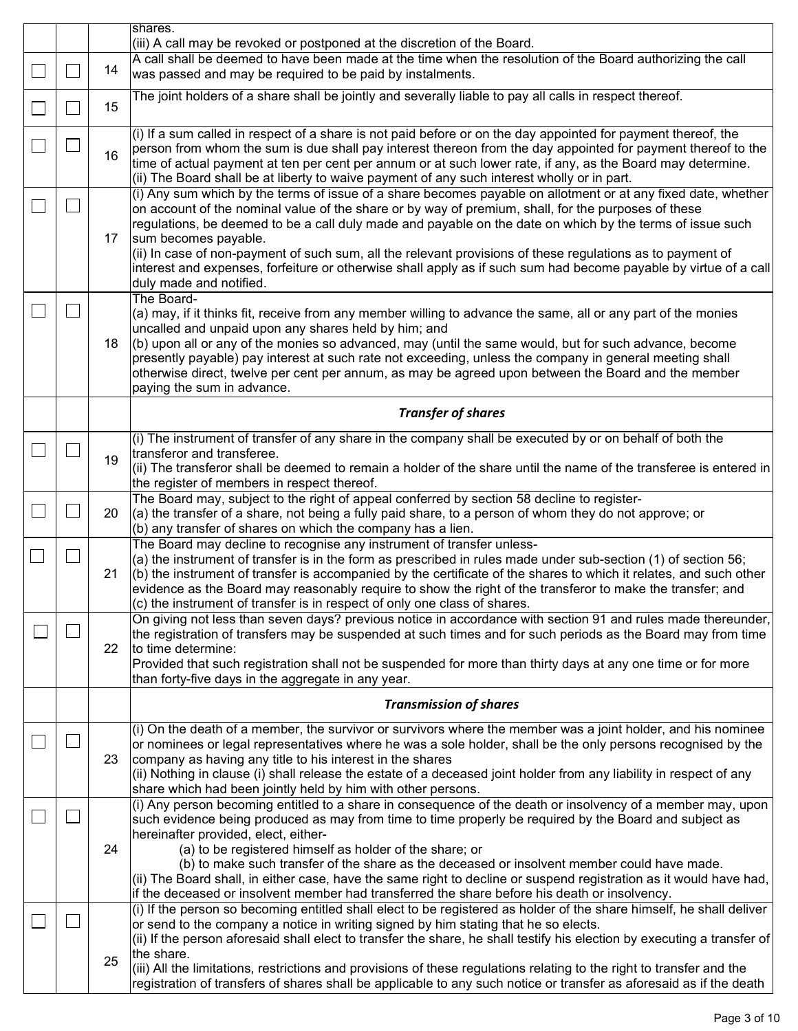|  |    | shares.<br>(iii) A call may be revoked or postponed at the discretion of the Board.                                                                                                                                                                                                                                                                                                                                                                                                                                                                                                                                                                            |  |  |  |  |  |  |
|--|----|----------------------------------------------------------------------------------------------------------------------------------------------------------------------------------------------------------------------------------------------------------------------------------------------------------------------------------------------------------------------------------------------------------------------------------------------------------------------------------------------------------------------------------------------------------------------------------------------------------------------------------------------------------------|--|--|--|--|--|--|
|  |    | A call shall be deemed to have been made at the time when the resolution of the Board authorizing the call                                                                                                                                                                                                                                                                                                                                                                                                                                                                                                                                                     |  |  |  |  |  |  |
|  | 14 | was passed and may be required to be paid by instalments.                                                                                                                                                                                                                                                                                                                                                                                                                                                                                                                                                                                                      |  |  |  |  |  |  |
|  | 15 | The joint holders of a share shall be jointly and severally liable to pay all calls in respect thereof.                                                                                                                                                                                                                                                                                                                                                                                                                                                                                                                                                        |  |  |  |  |  |  |
|  | 16 | $(i)$ If a sum called in respect of a share is not paid before or on the day appointed for payment thereof, the<br>person from whom the sum is due shall pay interest thereon from the day appointed for payment thereof to the<br>time of actual payment at ten per cent per annum or at such lower rate, if any, as the Board may determine.<br>(ii) The Board shall be at liberty to waive payment of any such interest wholly or in part.                                                                                                                                                                                                                  |  |  |  |  |  |  |
|  | 17 | (i) Any sum which by the terms of issue of a share becomes payable on allotment or at any fixed date, whether<br>on account of the nominal value of the share or by way of premium, shall, for the purposes of these<br>regulations, be deemed to be a call duly made and payable on the date on which by the terms of issue such<br>sum becomes payable.<br>(ii) In case of non-payment of such sum, all the relevant provisions of these regulations as to payment of<br>interest and expenses, forfeiture or otherwise shall apply as if such sum had become payable by virtue of a call<br>duly made and notified.                                         |  |  |  |  |  |  |
|  | 18 | The Board-<br>(a) may, if it thinks fit, receive from any member willing to advance the same, all or any part of the monies<br>uncalled and unpaid upon any shares held by him; and<br>$(6)$ upon all or any of the monies so advanced, may (until the same would, but for such advance, become<br>presently payable) pay interest at such rate not exceeding, unless the company in general meeting shall<br>otherwise direct, twelve per cent per annum, as may be agreed upon between the Board and the member<br>paying the sum in advance.                                                                                                                |  |  |  |  |  |  |
|  |    | <b>Transfer of shares</b>                                                                                                                                                                                                                                                                                                                                                                                                                                                                                                                                                                                                                                      |  |  |  |  |  |  |
|  | 19 | $(i)$ The instrument of transfer of any share in the company shall be executed by or on behalf of both the<br>transferor and transferee.<br>$ $ (ii) The transferor shall be deemed to remain a holder of the share until the name of the transferee is entered in<br>the register of members in respect thereof.                                                                                                                                                                                                                                                                                                                                              |  |  |  |  |  |  |
|  | 20 | The Board may, subject to the right of appeal conferred by section 58 decline to register-<br>$(a)$ the transfer of a share, not being a fully paid share, to a person of whom they do not approve; or<br>$\vert$ (b) any transfer of shares on which the company has a lien.                                                                                                                                                                                                                                                                                                                                                                                  |  |  |  |  |  |  |
|  | 21 | The Board may decline to recognise any instrument of transfer unless-<br>(a) the instrument of transfer is in the form as prescribed in rules made under sub-section (1) of section 56;<br>$(6)$ the instrument of transfer is accompanied by the certificate of the shares to which it relates, and such other<br>evidence as the Board may reasonably require to show the right of the transferor to make the transfer; and<br>$\vert$ (c) the instrument of transfer is in respect of only one class of shares.                                                                                                                                             |  |  |  |  |  |  |
|  | 22 | On giving not less than seven days? previous notice in accordance with section 91 and rules made thereunder,<br>the registration of transfers may be suspended at such times and for such periods as the Board may from time<br>to time determine:<br>Provided that such registration shall not be suspended for more than thirty days at any one time or for more<br>than forty-five days in the aggregate in any year.                                                                                                                                                                                                                                       |  |  |  |  |  |  |
|  |    | <b>Transmission of shares</b>                                                                                                                                                                                                                                                                                                                                                                                                                                                                                                                                                                                                                                  |  |  |  |  |  |  |
|  | 23 | (i) On the death of a member, the survivor or survivors where the member was a joint holder, and his nominee<br>or nominees or legal representatives where he was a sole holder, shall be the only persons recognised by the<br>company as having any title to his interest in the shares<br>$ $ (ii) Nothing in clause (i) shall release the estate of a deceased joint holder from any liability in respect of any<br>share which had been jointly held by him with other persons.                                                                                                                                                                           |  |  |  |  |  |  |
|  | 24 | (i) Any person becoming entitled to a share in consequence of the death or insolvency of a member may, upon<br>such evidence being produced as may from time to time properly be required by the Board and subject as<br>hereinafter provided, elect, either-<br>(a) to be registered himself as holder of the share; or<br>(b) to make such transfer of the share as the deceased or insolvent member could have made.<br>$\left  \right $ ii) The Board shall, in either case, have the same right to decline or suspend registration as it would have had,<br>if the deceased or insolvent member had transferred the share before his death or insolvency. |  |  |  |  |  |  |
|  | 25 | (i) If the person so becoming entitled shall elect to be registered as holder of the share himself, he shall deliver<br>or send to the company a notice in writing signed by him stating that he so elects.<br>$(iii)$ If the person aforesaid shall elect to transfer the share, he shall testify his election by executing a transfer of<br>the share.<br>(iii) All the limitations, restrictions and provisions of these regulations relating to the right to transfer and the<br>registration of transfers of shares shall be applicable to any such notice or transfer as aforesaid as if the death                                                       |  |  |  |  |  |  |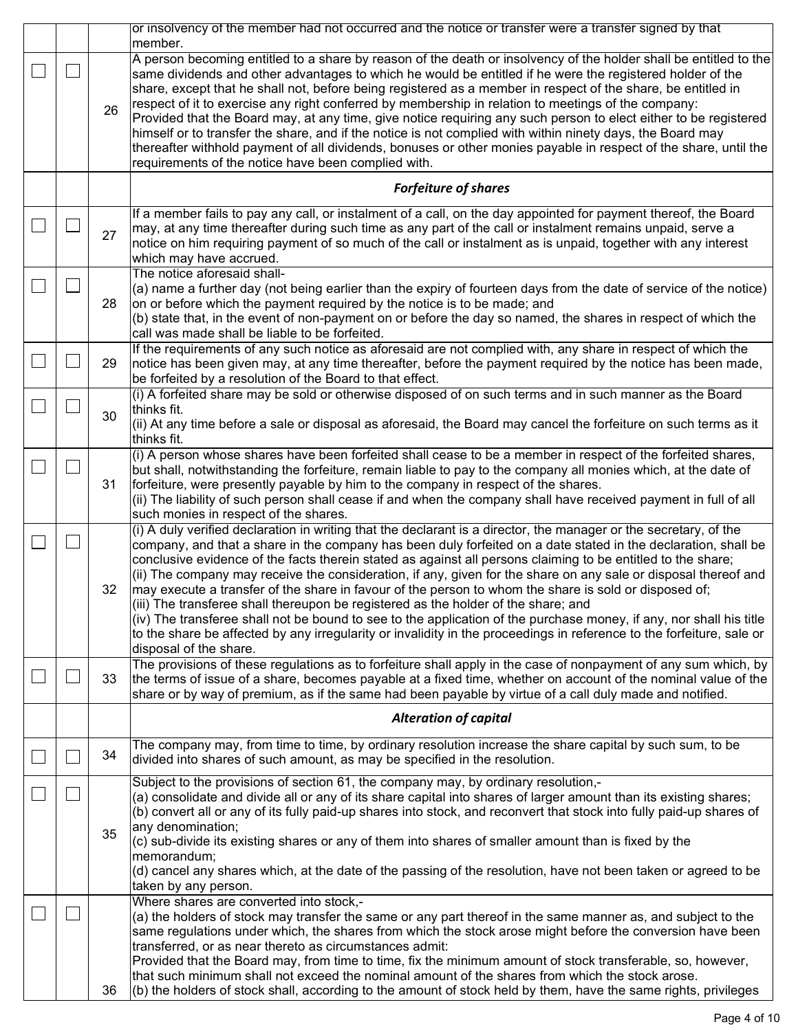|  |    | or insolvency of the member had not occurred and the notice or transfer were a transfer signed by that<br>member.                                                                                                                                                                                                                                                                                                                                                                                                                                                                                                                                                                                                                                                                                                                                                                                                                                          |  |  |  |  |  |  |  |
|--|----|------------------------------------------------------------------------------------------------------------------------------------------------------------------------------------------------------------------------------------------------------------------------------------------------------------------------------------------------------------------------------------------------------------------------------------------------------------------------------------------------------------------------------------------------------------------------------------------------------------------------------------------------------------------------------------------------------------------------------------------------------------------------------------------------------------------------------------------------------------------------------------------------------------------------------------------------------------|--|--|--|--|--|--|--|
|  | 26 | A person becoming entitled to a share by reason of the death or insolvency of the holder shall be entitled to the<br>same dividends and other advantages to which he would be entitled if he were the registered holder of the<br>share, except that he shall not, before being registered as a member in respect of the share, be entitled in<br>respect of it to exercise any right conferred by membership in relation to meetings of the company:<br>Provided that the Board may, at any time, give notice requiring any such person to elect either to be registered<br>himself or to transfer the share, and if the notice is not complied with within ninety days, the Board may<br>thereafter withhold payment of all dividends, bonuses or other monies payable in respect of the share, until the<br>requirements of the notice have been complied with.                                                                                         |  |  |  |  |  |  |  |
|  |    | <b>Forfeiture of shares</b>                                                                                                                                                                                                                                                                                                                                                                                                                                                                                                                                                                                                                                                                                                                                                                                                                                                                                                                                |  |  |  |  |  |  |  |
|  | 27 | If a member fails to pay any call, or instalment of a call, on the day appointed for payment thereof, the Board<br>$\vert$ may, at any time thereafter during such time as any part of the call or instalment remains unpaid, serve a<br>notice on him requiring payment of so much of the call or instalment as is unpaid, together with any interest<br>which may have accrued.                                                                                                                                                                                                                                                                                                                                                                                                                                                                                                                                                                          |  |  |  |  |  |  |  |
|  | 28 | The notice aforesaid shall-<br>$(a)$ name a further day (not being earlier than the expiry of fourteen days from the date of service of the notice)<br>on or before which the payment required by the notice is to be made; and<br>$(6)$ state that, in the event of non-payment on or before the day so named, the shares in respect of which the<br>call was made shall be liable to be forfeited.                                                                                                                                                                                                                                                                                                                                                                                                                                                                                                                                                       |  |  |  |  |  |  |  |
|  | 29 | If the requirements of any such notice as aforesaid are not complied with, any share in respect of which the<br>notice has been given may, at any time thereafter, before the payment required by the notice has been made,<br>be forfeited by a resolution of the Board to that effect.                                                                                                                                                                                                                                                                                                                                                                                                                                                                                                                                                                                                                                                                   |  |  |  |  |  |  |  |
|  | 30 | $(i)$ A forfeited share may be sold or otherwise disposed of on such terms and in such manner as the Board<br>thinks fit.<br>$ $ (ii) At any time before a sale or disposal as aforesaid, the Board may cancel the forfeiture on such terms as it<br>∣thinks fit.                                                                                                                                                                                                                                                                                                                                                                                                                                                                                                                                                                                                                                                                                          |  |  |  |  |  |  |  |
|  | 31 | $(i)$ A person whose shares have been forfeited shall cease to be a member in respect of the forfeited shares,<br>but shall, notwithstanding the forfeiture, remain liable to pay to the company all monies which, at the date of<br>forfeiture, were presently payable by him to the company in respect of the shares.<br>$ $ (ii) The liability of such person shall cease if and when the company shall have received payment in full of all<br>such monies in respect of the shares.                                                                                                                                                                                                                                                                                                                                                                                                                                                                   |  |  |  |  |  |  |  |
|  | 32 | $(i)$ A duly verified declaration in writing that the declarant is a director, the manager or the secretary, of the<br>company, and that a share in the company has been duly forfeited on a date stated in the declaration, shall be<br>conclusive evidence of the facts therein stated as against all persons claiming to be entitled to the share;<br>$(iii)$ The company may receive the consideration, if any, given for the share on any sale or disposal thereof and<br>may execute a transfer of the share in favour of the person to whom the share is sold or disposed of;<br>$ $ (iii) The transferee shall thereupon be registered as the holder of the share; and<br>$(iv)$ The transferee shall not be bound to see to the application of the purchase money, if any, nor shall his title<br>to the share be affected by any irregularity or invalidity in the proceedings in reference to the forfeiture, sale or<br>disposal of the share. |  |  |  |  |  |  |  |
|  | 33 | The provisions of these regulations as to forfeiture shall apply in the case of nonpayment of any sum which, by<br>the terms of issue of a share, becomes payable at a fixed time, whether on account of the nominal value of the<br>share or by way of premium, as if the same had been payable by virtue of a call duly made and notified.                                                                                                                                                                                                                                                                                                                                                                                                                                                                                                                                                                                                               |  |  |  |  |  |  |  |
|  |    | <b>Alteration of capital</b>                                                                                                                                                                                                                                                                                                                                                                                                                                                                                                                                                                                                                                                                                                                                                                                                                                                                                                                               |  |  |  |  |  |  |  |
|  | 34 | The company may, from time to time, by ordinary resolution increase the share capital by such sum, to be<br>divided into shares of such amount, as may be specified in the resolution.                                                                                                                                                                                                                                                                                                                                                                                                                                                                                                                                                                                                                                                                                                                                                                     |  |  |  |  |  |  |  |
|  | 35 | Subject to the provisions of section 61, the company may, by ordinary resolution,-<br>(a) consolidate and divide all or any of its share capital into shares of larger amount than its existing shares;<br>(b) convert all or any of its fully paid-up shares into stock, and reconvert that stock into fully paid-up shares of<br>any denomination;<br>(c) sub-divide its existing shares or any of them into shares of smaller amount than is fixed by the<br> memorandum;<br>(d) cancel any shares which, at the date of the passing of the resolution, have not been taken or agreed to be<br>taken by any person.                                                                                                                                                                                                                                                                                                                                     |  |  |  |  |  |  |  |
|  | 36 | Where shares are converted into stock,-<br>$\vert$ (a) the holders of stock may transfer the same or any part thereof in the same manner as, and subject to the<br>same regulations under which, the shares from which the stock arose might before the conversion have been<br>transferred, or as near thereto as circumstances admit:<br>Provided that the Board may, from time to time, fix the minimum amount of stock transferable, so, however,<br>that such minimum shall not exceed the nominal amount of the shares from which the stock arose.<br>$(6)$ the holders of stock shall, according to the amount of stock held by them, have the same rights, privileges                                                                                                                                                                                                                                                                              |  |  |  |  |  |  |  |

L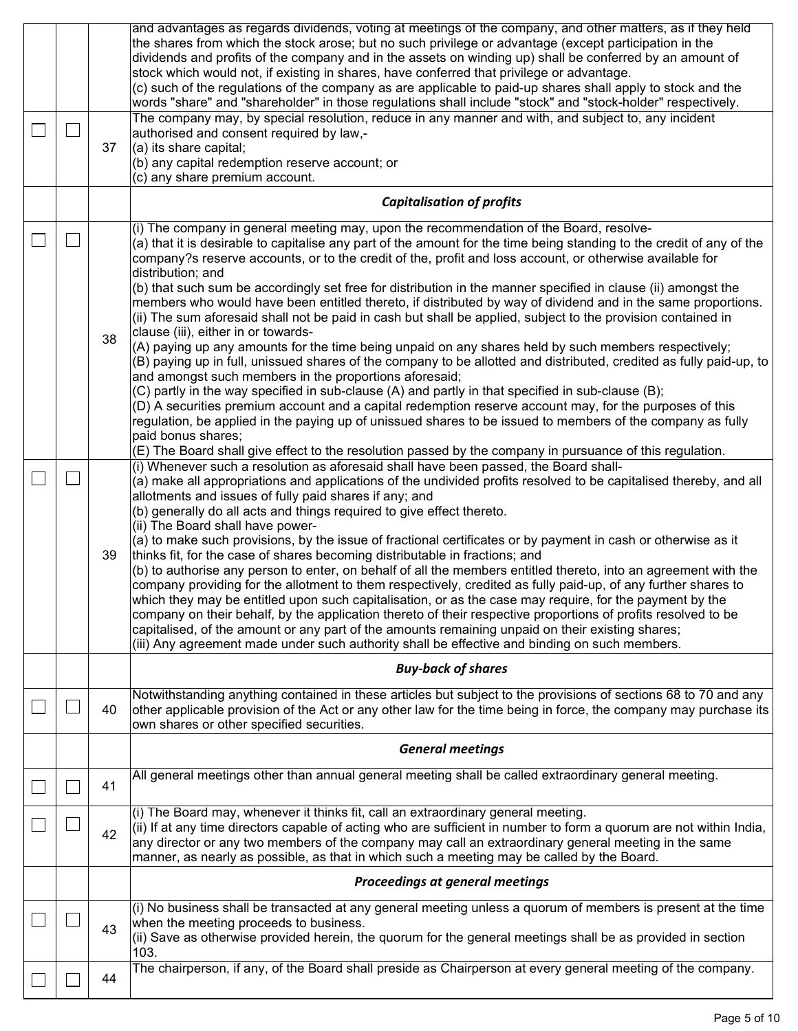|                             | 44 | The chairperson, if any, of the Board shall preside as Chairperson at every general meeting of the company.                                                                                                                                                                                                                                                                                                                                                                                                                                                                                                                                                                                                                                                                                                                                                                                                                                                                                                                                                                                                                                                                                                                                                                                                                                                                                                                                                                                                                                                                                                        |  |  |  |  |  |  |
|-----------------------------|----|--------------------------------------------------------------------------------------------------------------------------------------------------------------------------------------------------------------------------------------------------------------------------------------------------------------------------------------------------------------------------------------------------------------------------------------------------------------------------------------------------------------------------------------------------------------------------------------------------------------------------------------------------------------------------------------------------------------------------------------------------------------------------------------------------------------------------------------------------------------------------------------------------------------------------------------------------------------------------------------------------------------------------------------------------------------------------------------------------------------------------------------------------------------------------------------------------------------------------------------------------------------------------------------------------------------------------------------------------------------------------------------------------------------------------------------------------------------------------------------------------------------------------------------------------------------------------------------------------------------------|--|--|--|--|--|--|
|                             | 43 | (i) No business shall be transacted at any general meeting unless a quorum of members is present at the time<br>when the meeting proceeds to business.<br>(ii) Save as otherwise provided herein, the quorum for the general meetings shall be as provided in section<br>103.                                                                                                                                                                                                                                                                                                                                                                                                                                                                                                                                                                                                                                                                                                                                                                                                                                                                                                                                                                                                                                                                                                                                                                                                                                                                                                                                      |  |  |  |  |  |  |
|                             |    | <b>Proceedings at general meetings</b>                                                                                                                                                                                                                                                                                                                                                                                                                                                                                                                                                                                                                                                                                                                                                                                                                                                                                                                                                                                                                                                                                                                                                                                                                                                                                                                                                                                                                                                                                                                                                                             |  |  |  |  |  |  |
|                             | 42 | (i) The Board may, whenever it thinks fit, call an extraordinary general meeting.<br>$(iii)$ If at any time directors capable of acting who are sufficient in number to form a quorum are not within India,<br>any director or any two members of the company may call an extraordinary general meeting in the same<br>manner, as nearly as possible, as that in which such a meeting may be called by the Board.                                                                                                                                                                                                                                                                                                                                                                                                                                                                                                                                                                                                                                                                                                                                                                                                                                                                                                                                                                                                                                                                                                                                                                                                  |  |  |  |  |  |  |
|                             | 41 | All general meetings other than annual general meeting shall be called extraordinary general meeting.                                                                                                                                                                                                                                                                                                                                                                                                                                                                                                                                                                                                                                                                                                                                                                                                                                                                                                                                                                                                                                                                                                                                                                                                                                                                                                                                                                                                                                                                                                              |  |  |  |  |  |  |
|                             |    | <b>General meetings</b>                                                                                                                                                                                                                                                                                                                                                                                                                                                                                                                                                                                                                                                                                                                                                                                                                                                                                                                                                                                                                                                                                                                                                                                                                                                                                                                                                                                                                                                                                                                                                                                            |  |  |  |  |  |  |
|                             | 40 | Notwithstanding anything contained in these articles but subject to the provisions of sections 68 to 70 and any<br>other applicable provision of the Act or any other law for the time being in force, the company may purchase its<br>own shares or other specified securities.                                                                                                                                                                                                                                                                                                                                                                                                                                                                                                                                                                                                                                                                                                                                                                                                                                                                                                                                                                                                                                                                                                                                                                                                                                                                                                                                   |  |  |  |  |  |  |
|                             |    | <b>Buy-back of shares</b>                                                                                                                                                                                                                                                                                                                                                                                                                                                                                                                                                                                                                                                                                                                                                                                                                                                                                                                                                                                                                                                                                                                                                                                                                                                                                                                                                                                                                                                                                                                                                                                          |  |  |  |  |  |  |
| $\mathcal{L}_{\mathcal{A}}$ | 39 | (D) A securities premium account and a capital redemption reserve account may, for the purposes of this<br>regulation, be applied in the paying up of unissued shares to be issued to members of the company as fully<br>paid bonus shares;<br>(E) The Board shall give effect to the resolution passed by the company in pursuance of this regulation.<br>(i) Whenever such a resolution as aforesaid shall have been passed, the Board shall-<br>(a) make all appropriations and applications of the undivided profits resolved to be capitalised thereby, and all<br>allotments and issues of fully paid shares if any; and<br>(b) generally do all acts and things required to give effect thereto.<br>(ii) The Board shall have power-<br>$(a)$ to make such provisions, by the issue of fractional certificates or by payment in cash or otherwise as it<br>thinks fit, for the case of shares becoming distributable in fractions; and<br>(b) to authorise any person to enter, on behalf of all the members entitled thereto, into an agreement with the<br>company providing for the allotment to them respectively, credited as fully paid-up, of any further shares to<br>which they may be entitled upon such capitalisation, or as the case may require, for the payment by the<br>company on their behalf, by the application thereto of their respective proportions of profits resolved to be<br>capitalised, of the amount or any part of the amounts remaining unpaid on their existing shares;<br>(iii) Any agreement made under such authority shall be effective and binding on such members. |  |  |  |  |  |  |
| $\mathcal{L}_{\mathcal{A}}$ | 38 | $(i)$ The company in general meeting may, upon the recommendation of the Board, resolve-<br>(a) that it is desirable to capitalise any part of the amount for the time being standing to the credit of any of the<br>company?s reserve accounts, or to the credit of the, profit and loss account, or otherwise available for<br>distribution; and<br>(b) that such sum be accordingly set free for distribution in the manner specified in clause (ii) amongst the<br>members who would have been entitled thereto, if distributed by way of dividend and in the same proportions.<br>(ii) The sum aforesaid shall not be paid in cash but shall be applied, subject to the provision contained in<br>clause (iii), either in or towards-<br>$(A)$ paying up any amounts for the time being unpaid on any shares held by such members respectively;<br>(B) paying up in full, unissued shares of the company to be allotted and distributed, credited as fully paid-up, to<br>and amongst such members in the proportions aforesaid;<br>(C) partly in the way specified in sub-clause (A) and partly in that specified in sub-clause (B);                                                                                                                                                                                                                                                                                                                                                                                                                                                                         |  |  |  |  |  |  |
|                             |    | <b>Capitalisation of profits</b>                                                                                                                                                                                                                                                                                                                                                                                                                                                                                                                                                                                                                                                                                                                                                                                                                                                                                                                                                                                                                                                                                                                                                                                                                                                                                                                                                                                                                                                                                                                                                                                   |  |  |  |  |  |  |
| $\mathbb{R}^n$              | 37 | authorised and consent required by law,-<br>$(a)$ its share capital;<br>(b) any capital redemption reserve account; or<br>(c) any share premium account.                                                                                                                                                                                                                                                                                                                                                                                                                                                                                                                                                                                                                                                                                                                                                                                                                                                                                                                                                                                                                                                                                                                                                                                                                                                                                                                                                                                                                                                           |  |  |  |  |  |  |
|                             |    | and advantages as regards dividends, voting at meetings of the company, and other matters, as if they held<br>the shares from which the stock arose; but no such privilege or advantage (except participation in the<br>dividends and profits of the company and in the assets on winding up) shall be conferred by an amount of<br>stock which would not, if existing in shares, have conferred that privilege or advantage.<br>(c) such of the regulations of the company as are applicable to paid-up shares shall apply to stock and the<br>words "share" and "shareholder" in those regulations shall include "stock" and "stock-holder" respectively.<br>The company may, by special resolution, reduce in any manner and with, and subject to, any incident                                                                                                                                                                                                                                                                                                                                                                                                                                                                                                                                                                                                                                                                                                                                                                                                                                                 |  |  |  |  |  |  |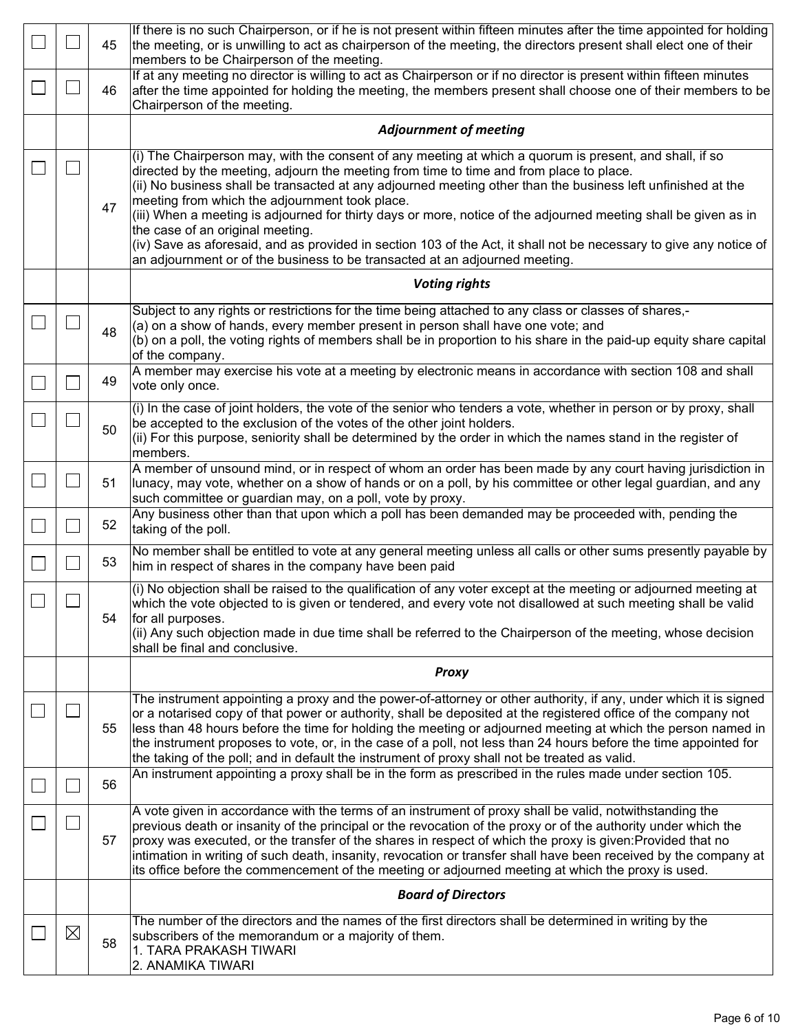|             | 45 | If there is no such Chairperson, or if he is not present within fifteen minutes after the time appointed for holding<br>the meeting, or is unwilling to act as chairperson of the meeting, the directors present shall elect one of their<br>members to be Chairperson of the meeting.                                                                                                                                                                                                                                                                                                                                                                                                                                           |  |  |  |  |  |  |  |
|-------------|----|----------------------------------------------------------------------------------------------------------------------------------------------------------------------------------------------------------------------------------------------------------------------------------------------------------------------------------------------------------------------------------------------------------------------------------------------------------------------------------------------------------------------------------------------------------------------------------------------------------------------------------------------------------------------------------------------------------------------------------|--|--|--|--|--|--|--|
|             | 46 | If at any meeting no director is willing to act as Chairperson or if no director is present within fifteen minutes<br>after the time appointed for holding the meeting, the members present shall choose one of their members to be<br>Chairperson of the meeting.                                                                                                                                                                                                                                                                                                                                                                                                                                                               |  |  |  |  |  |  |  |
|             |    | <b>Adjournment of meeting</b>                                                                                                                                                                                                                                                                                                                                                                                                                                                                                                                                                                                                                                                                                                    |  |  |  |  |  |  |  |
|             | 47 | (i) The Chairperson may, with the consent of any meeting at which a quorum is present, and shall, if so<br>directed by the meeting, adjourn the meeting from time to time and from place to place.<br>(ii) No business shall be transacted at any adjourned meeting other than the business left unfinished at the<br>meeting from which the adjournment took place.<br>(iii) When a meeting is adjourned for thirty days or more, notice of the adjourned meeting shall be given as in<br>the case of an original meeting.<br>(iv) Save as aforesaid, and as provided in section 103 of the Act, it shall not be necessary to give any notice of<br>an adjournment or of the business to be transacted at an adjourned meeting. |  |  |  |  |  |  |  |
|             |    | <b>Voting rights</b>                                                                                                                                                                                                                                                                                                                                                                                                                                                                                                                                                                                                                                                                                                             |  |  |  |  |  |  |  |
|             | 48 | Subject to any rights or restrictions for the time being attached to any class or classes of shares,-<br>(a) on a show of hands, every member present in person shall have one vote; and<br>(b) on a poll, the voting rights of members shall be in proportion to his share in the paid-up equity share capital<br>of the company.                                                                                                                                                                                                                                                                                                                                                                                               |  |  |  |  |  |  |  |
|             | 49 | A member may exercise his vote at a meeting by electronic means in accordance with section 108 and shall<br>vote only once.                                                                                                                                                                                                                                                                                                                                                                                                                                                                                                                                                                                                      |  |  |  |  |  |  |  |
|             | 50 | (i) In the case of joint holders, the vote of the senior who tenders a vote, whether in person or by proxy, shall<br>be accepted to the exclusion of the votes of the other joint holders.<br>(ii) For this purpose, seniority shall be determined by the order in which the names stand in the register of<br>members.                                                                                                                                                                                                                                                                                                                                                                                                          |  |  |  |  |  |  |  |
|             | 51 | A member of unsound mind, or in respect of whom an order has been made by any court having jurisdiction in<br>lunacy, may vote, whether on a show of hands or on a poll, by his committee or other legal guardian, and any<br>such committee or guardian may, on a poll, vote by proxy.                                                                                                                                                                                                                                                                                                                                                                                                                                          |  |  |  |  |  |  |  |
|             | 52 | Any business other than that upon which a poll has been demanded may be proceeded with, pending the<br>taking of the poll.                                                                                                                                                                                                                                                                                                                                                                                                                                                                                                                                                                                                       |  |  |  |  |  |  |  |
|             | 53 | No member shall be entitled to vote at any general meeting unless all calls or other sums presently payable by<br>him in respect of shares in the company have been paid                                                                                                                                                                                                                                                                                                                                                                                                                                                                                                                                                         |  |  |  |  |  |  |  |
|             | 54 | (i) No objection shall be raised to the qualification of any voter except at the meeting or adjourned meeting at<br>which the vote objected to is given or tendered, and every vote not disallowed at such meeting shall be valid<br>for all purposes.<br>(ii) Any such objection made in due time shall be referred to the Chairperson of the meeting, whose decision<br>shall be final and conclusive.                                                                                                                                                                                                                                                                                                                         |  |  |  |  |  |  |  |
|             |    | Proxy                                                                                                                                                                                                                                                                                                                                                                                                                                                                                                                                                                                                                                                                                                                            |  |  |  |  |  |  |  |
|             | 55 | The instrument appointing a proxy and the power-of-attorney or other authority, if any, under which it is signed<br>or a notarised copy of that power or authority, shall be deposited at the registered office of the company not<br>less than 48 hours before the time for holding the meeting or adjourned meeting at which the person named in<br>the instrument proposes to vote, or, in the case of a poll, not less than 24 hours before the time appointed for<br>the taking of the poll; and in default the instrument of proxy shall not be treated as valid.                                                                                                                                                          |  |  |  |  |  |  |  |
|             | 56 | An instrument appointing a proxy shall be in the form as prescribed in the rules made under section 105.                                                                                                                                                                                                                                                                                                                                                                                                                                                                                                                                                                                                                         |  |  |  |  |  |  |  |
|             | 57 | A vote given in accordance with the terms of an instrument of proxy shall be valid, notwithstanding the<br>previous death or insanity of the principal or the revocation of the proxy or of the authority under which the<br>proxy was executed, or the transfer of the shares in respect of which the proxy is given: Provided that no<br>intimation in writing of such death, insanity, revocation or transfer shall have been received by the company at<br>its office before the commencement of the meeting or adjourned meeting at which the proxy is used.                                                                                                                                                                |  |  |  |  |  |  |  |
|             |    | <b>Board of Directors</b>                                                                                                                                                                                                                                                                                                                                                                                                                                                                                                                                                                                                                                                                                                        |  |  |  |  |  |  |  |
| $\boxtimes$ | 58 | The number of the directors and the names of the first directors shall be determined in writing by the<br>subscribers of the memorandum or a majority of them.<br>1. TARA PRAKASH TIWARI<br>2. ANAMIKA TIWARI                                                                                                                                                                                                                                                                                                                                                                                                                                                                                                                    |  |  |  |  |  |  |  |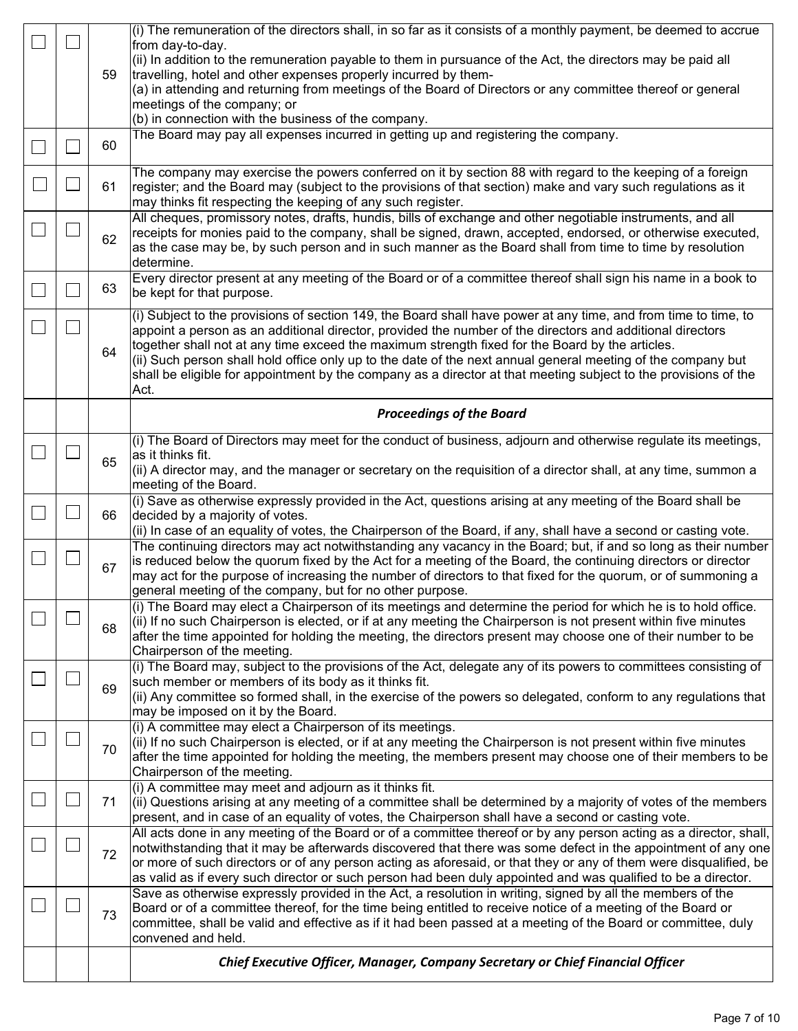|    |    | (i) The remuneration of the directors shall, in so far as it consists of a monthly payment, be deemed to accrue                                                                                                                        |  |  |  |  |
|----|----|----------------------------------------------------------------------------------------------------------------------------------------------------------------------------------------------------------------------------------------|--|--|--|--|
|    |    | from day-to-day.<br>(ii) In addition to the remuneration payable to them in pursuance of the Act, the directors may be paid all                                                                                                        |  |  |  |  |
|    | 59 | travelling, hotel and other expenses properly incurred by them-                                                                                                                                                                        |  |  |  |  |
|    |    | (a) in attending and returning from meetings of the Board of Directors or any committee thereof or general                                                                                                                             |  |  |  |  |
|    |    | meetings of the company; or                                                                                                                                                                                                            |  |  |  |  |
|    |    | (b) in connection with the business of the company.                                                                                                                                                                                    |  |  |  |  |
|    | 60 | The Board may pay all expenses incurred in getting up and registering the company.                                                                                                                                                     |  |  |  |  |
|    |    |                                                                                                                                                                                                                                        |  |  |  |  |
|    |    | The company may exercise the powers conferred on it by section 88 with regard to the keeping of a foreign                                                                                                                              |  |  |  |  |
|    | 61 | register; and the Board may (subject to the provisions of that section) make and vary such regulations as it                                                                                                                           |  |  |  |  |
|    |    | may thinks fit respecting the keeping of any such register.                                                                                                                                                                            |  |  |  |  |
|    |    | All cheques, promissory notes, drafts, hundis, bills of exchange and other negotiable instruments, and all<br>receipts for monies paid to the company, shall be signed, drawn, accepted, endorsed, or otherwise executed,              |  |  |  |  |
|    | 62 | as the case may be, by such person and in such manner as the Board shall from time to time by resolution                                                                                                                               |  |  |  |  |
|    |    | determine.                                                                                                                                                                                                                             |  |  |  |  |
|    |    | Every director present at any meeting of the Board or of a committee thereof shall sign his name in a book to                                                                                                                          |  |  |  |  |
|    | 63 | be kept for that purpose.                                                                                                                                                                                                              |  |  |  |  |
|    |    | (i) Subject to the provisions of section 149, the Board shall have power at any time, and from time to time, to                                                                                                                        |  |  |  |  |
|    |    | appoint a person as an additional director, provided the number of the directors and additional directors                                                                                                                              |  |  |  |  |
|    | 64 | together shall not at any time exceed the maximum strength fixed for the Board by the articles.                                                                                                                                        |  |  |  |  |
|    |    | (ii) Such person shall hold office only up to the date of the next annual general meeting of the company but<br>shall be eligible for appointment by the company as a director at that meeting subject to the provisions of the        |  |  |  |  |
|    |    | Act.                                                                                                                                                                                                                                   |  |  |  |  |
|    |    |                                                                                                                                                                                                                                        |  |  |  |  |
|    |    | <b>Proceedings of the Board</b>                                                                                                                                                                                                        |  |  |  |  |
|    |    | (i) The Board of Directors may meet for the conduct of business, adjourn and otherwise regulate its meetings,                                                                                                                          |  |  |  |  |
|    | 65 | as it thinks fit.                                                                                                                                                                                                                      |  |  |  |  |
|    |    | (ii) A director may, and the manager or secretary on the requisition of a director shall, at any time, summon a<br>meeting of the Board.                                                                                               |  |  |  |  |
|    |    | (i) Save as otherwise expressly provided in the Act, questions arising at any meeting of the Board shall be                                                                                                                            |  |  |  |  |
|    | 66 | decided by a majority of votes.                                                                                                                                                                                                        |  |  |  |  |
|    |    | (ii) In case of an equality of votes, the Chairperson of the Board, if any, shall have a second or casting vote.                                                                                                                       |  |  |  |  |
|    |    | The continuing directors may act notwithstanding any vacancy in the Board; but, if and so long as their number                                                                                                                         |  |  |  |  |
| J. | 67 | is reduced below the quorum fixed by the Act for a meeting of the Board, the continuing directors or director<br>$\vert$ may act for the purpose of increasing the number of directors to that fixed for the quorum, or of summoning a |  |  |  |  |
|    |    | general meeting of the company, but for no other purpose.                                                                                                                                                                              |  |  |  |  |
|    |    | (i) The Board may elect a Chairperson of its meetings and determine the period for which he is to hold office.                                                                                                                         |  |  |  |  |
|    | 68 | (ii) If no such Chairperson is elected, or if at any meeting the Chairperson is not present within five minutes                                                                                                                        |  |  |  |  |
|    |    | after the time appointed for holding the meeting, the directors present may choose one of their number to be                                                                                                                           |  |  |  |  |
|    |    | Chairperson of the meeting.                                                                                                                                                                                                            |  |  |  |  |
|    |    | (i) The Board may, subject to the provisions of the Act, delegate any of its powers to committees consisting of<br>such member or members of its body as it thinks fit.                                                                |  |  |  |  |
|    | 69 | (ii) Any committee so formed shall, in the exercise of the powers so delegated, conform to any regulations that                                                                                                                        |  |  |  |  |
|    |    |                                                                                                                                                                                                                                        |  |  |  |  |
|    |    | may be imposed on it by the Board.                                                                                                                                                                                                     |  |  |  |  |
|    |    | (i) A committee may elect a Chairperson of its meetings.                                                                                                                                                                               |  |  |  |  |
|    |    | $(iii)$ If no such Chairperson is elected, or if at any meeting the Chairperson is not present within five minutes                                                                                                                     |  |  |  |  |
|    | 70 | after the time appointed for holding the meeting, the members present may choose one of their members to be                                                                                                                            |  |  |  |  |
|    |    | Chairperson of the meeting.                                                                                                                                                                                                            |  |  |  |  |
|    |    | (i) A committee may meet and adjourn as it thinks fit.                                                                                                                                                                                 |  |  |  |  |
|    | 71 | (ii) Questions arising at any meeting of a committee shall be determined by a majority of votes of the members<br>present, and in case of an equality of votes, the Chairperson shall have a second or casting vote.                   |  |  |  |  |
|    |    | All acts done in any meeting of the Board or of a committee thereof or by any person acting as a director, shall,                                                                                                                      |  |  |  |  |
|    |    | notwithstanding that it may be afterwards discovered that there was some defect in the appointment of any one                                                                                                                          |  |  |  |  |
|    | 72 | or more of such directors or of any person acting as aforesaid, or that they or any of them were disqualified, be                                                                                                                      |  |  |  |  |
|    |    | as valid as if every such director or such person had been duly appointed and was qualified to be a director.                                                                                                                          |  |  |  |  |
|    |    | Save as otherwise expressly provided in the Act, a resolution in writing, signed by all the members of the                                                                                                                             |  |  |  |  |
|    | 73 | Board or of a committee thereof, for the time being entitled to receive notice of a meeting of the Board or<br>committee, shall be valid and effective as if it had been passed at a meeting of the Board or committee, duly           |  |  |  |  |
|    |    | convened and held.                                                                                                                                                                                                                     |  |  |  |  |
|    |    | Chief Executive Officer, Manager, Company Secretary or Chief Financial Officer                                                                                                                                                         |  |  |  |  |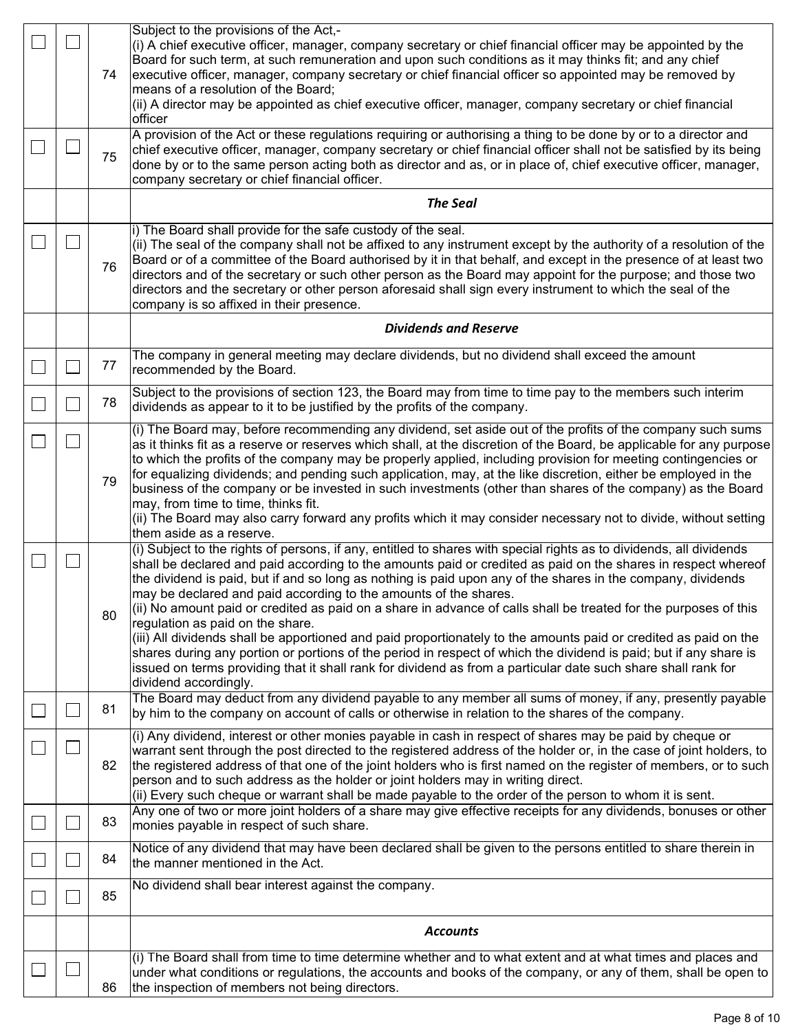|  | 74 | Subject to the provisions of the Act,-<br>(i) A chief executive officer, manager, company secretary or chief financial officer may be appointed by the<br>Board for such term, at such remuneration and upon such conditions as it may thinks fit; and any chief<br>executive officer, manager, company secretary or chief financial officer so appointed may be removed by                                                                                                                                                                                                                                                                                                                                                                                                                                                                                                                                                                                         |
|--|----|---------------------------------------------------------------------------------------------------------------------------------------------------------------------------------------------------------------------------------------------------------------------------------------------------------------------------------------------------------------------------------------------------------------------------------------------------------------------------------------------------------------------------------------------------------------------------------------------------------------------------------------------------------------------------------------------------------------------------------------------------------------------------------------------------------------------------------------------------------------------------------------------------------------------------------------------------------------------|
|  |    | means of a resolution of the Board;<br>(ii) A director may be appointed as chief executive officer, manager, company secretary or chief financial<br>officer                                                                                                                                                                                                                                                                                                                                                                                                                                                                                                                                                                                                                                                                                                                                                                                                        |
|  | 75 | A provision of the Act or these regulations requiring or authorising a thing to be done by or to a director and<br>chief executive officer, manager, company secretary or chief financial officer shall not be satisfied by its being<br>done by or to the same person acting both as director and as, or in place of, chief executive officer, manager,<br>company secretary or chief financial officer.                                                                                                                                                                                                                                                                                                                                                                                                                                                                                                                                                           |
|  |    | <b>The Seal</b>                                                                                                                                                                                                                                                                                                                                                                                                                                                                                                                                                                                                                                                                                                                                                                                                                                                                                                                                                     |
|  | 76 | i) The Board shall provide for the safe custody of the seal.<br>(ii) The seal of the company shall not be affixed to any instrument except by the authority of a resolution of the<br>Board or of a committee of the Board authorised by it in that behalf, and except in the presence of at least two<br>directors and of the secretary or such other person as the Board may appoint for the purpose; and those two<br>directors and the secretary or other person aforesaid shall sign every instrument to which the seal of the<br>company is so affixed in their presence.                                                                                                                                                                                                                                                                                                                                                                                     |
|  |    | <b>Dividends and Reserve</b>                                                                                                                                                                                                                                                                                                                                                                                                                                                                                                                                                                                                                                                                                                                                                                                                                                                                                                                                        |
|  | 77 | The company in general meeting may declare dividends, but no dividend shall exceed the amount<br>recommended by the Board.                                                                                                                                                                                                                                                                                                                                                                                                                                                                                                                                                                                                                                                                                                                                                                                                                                          |
|  | 78 | Subject to the provisions of section 123, the Board may from time to time pay to the members such interim<br>dividends as appear to it to be justified by the profits of the company.                                                                                                                                                                                                                                                                                                                                                                                                                                                                                                                                                                                                                                                                                                                                                                               |
|  | 79 | (i) The Board may, before recommending any dividend, set aside out of the profits of the company such sums<br>as it thinks fit as a reserve or reserves which shall, at the discretion of the Board, be applicable for any purpose<br>to which the profits of the company may be properly applied, including provision for meeting contingencies or<br>for equalizing dividends; and pending such application, may, at the like discretion, either be employed in the<br>business of the company or be invested in such investments (other than shares of the company) as the Board<br>may, from time to time, thinks fit.<br>(ii) The Board may also carry forward any profits which it may consider necessary not to divide, without setting<br>them aside as a reserve.                                                                                                                                                                                          |
|  | 80 | (i) Subject to the rights of persons, if any, entitled to shares with special rights as to dividends, all dividends<br>shall be declared and paid according to the amounts paid or credited as paid on the shares in respect whereof<br>the dividend is paid, but if and so long as nothing is paid upon any of the shares in the company, dividends<br>may be declared and paid according to the amounts of the shares.<br>(ii) No amount paid or credited as paid on a share in advance of calls shall be treated for the purposes of this<br>regulation as paid on the share.<br>(iii) All dividends shall be apportioned and paid proportionately to the amounts paid or credited as paid on the<br>shares during any portion or portions of the period in respect of which the dividend is paid; but if any share is<br>issued on terms providing that it shall rank for dividend as from a particular date such share shall rank for<br>dividend accordingly. |
|  | 81 | The Board may deduct from any dividend payable to any member all sums of money, if any, presently payable<br>by him to the company on account of calls or otherwise in relation to the shares of the company.                                                                                                                                                                                                                                                                                                                                                                                                                                                                                                                                                                                                                                                                                                                                                       |
|  | 82 | (i) Any dividend, interest or other monies payable in cash in respect of shares may be paid by cheque or<br>warrant sent through the post directed to the registered address of the holder or, in the case of joint holders, to<br>the registered address of that one of the joint holders who is first named on the register of members, or to such<br>person and to such address as the holder or joint holders may in writing direct.<br>(ii) Every such cheque or warrant shall be made payable to the order of the person to whom it is sent.                                                                                                                                                                                                                                                                                                                                                                                                                  |
|  | 83 | Any one of two or more joint holders of a share may give effective receipts for any dividends, bonuses or other<br>monies payable in respect of such share.                                                                                                                                                                                                                                                                                                                                                                                                                                                                                                                                                                                                                                                                                                                                                                                                         |
|  | 84 | Notice of any dividend that may have been declared shall be given to the persons entitled to share therein in<br>the manner mentioned in the Act.                                                                                                                                                                                                                                                                                                                                                                                                                                                                                                                                                                                                                                                                                                                                                                                                                   |
|  | 85 | No dividend shall bear interest against the company.                                                                                                                                                                                                                                                                                                                                                                                                                                                                                                                                                                                                                                                                                                                                                                                                                                                                                                                |
|  |    | <b>Accounts</b>                                                                                                                                                                                                                                                                                                                                                                                                                                                                                                                                                                                                                                                                                                                                                                                                                                                                                                                                                     |
|  | 86 | (i) The Board shall from time to time determine whether and to what extent and at what times and places and<br>under what conditions or regulations, the accounts and books of the company, or any of them, shall be open to<br>the inspection of members not being directors.                                                                                                                                                                                                                                                                                                                                                                                                                                                                                                                                                                                                                                                                                      |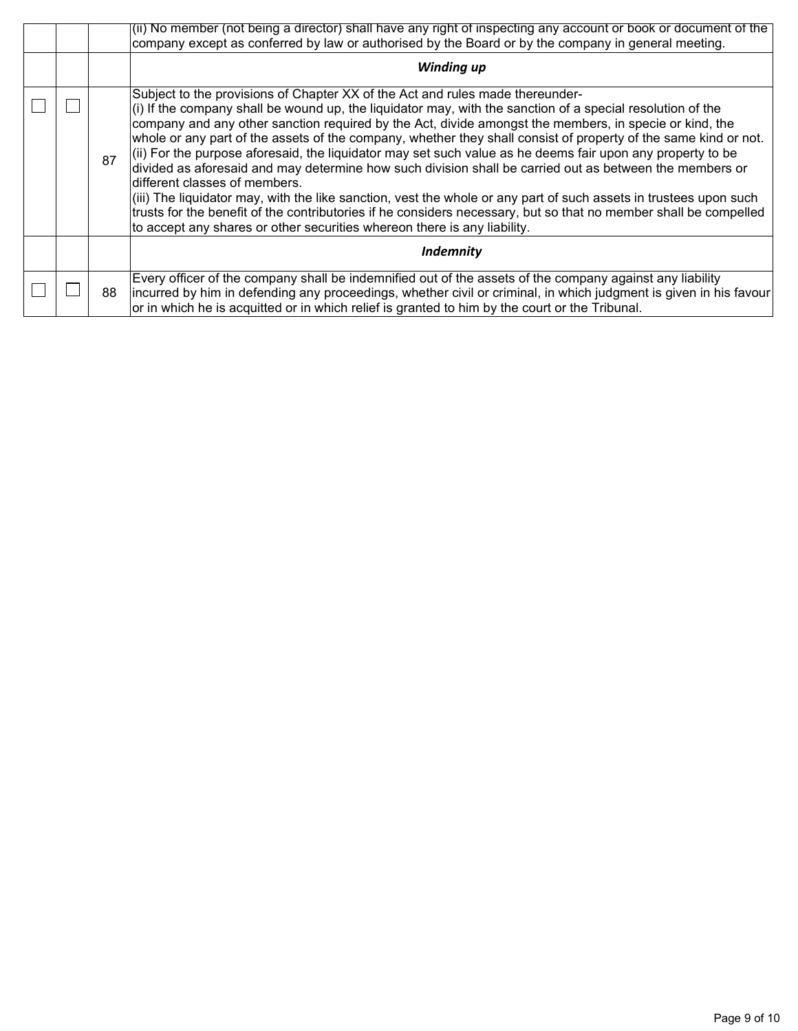|  |    | (ii) No member (not being a director) shall have any right of inspecting any account or book or document of the<br>company except as conferred by law or authorised by the Board or by the company in general meeting.                                                                                                                                                                                                                                                                                                                                                                                                                                                                                                                                                                                                                                                                                                                                                                                       |  |  |  |  |  |  |  |
|--|----|--------------------------------------------------------------------------------------------------------------------------------------------------------------------------------------------------------------------------------------------------------------------------------------------------------------------------------------------------------------------------------------------------------------------------------------------------------------------------------------------------------------------------------------------------------------------------------------------------------------------------------------------------------------------------------------------------------------------------------------------------------------------------------------------------------------------------------------------------------------------------------------------------------------------------------------------------------------------------------------------------------------|--|--|--|--|--|--|--|
|  |    | Winding up                                                                                                                                                                                                                                                                                                                                                                                                                                                                                                                                                                                                                                                                                                                                                                                                                                                                                                                                                                                                   |  |  |  |  |  |  |  |
|  | 87 | Subject to the provisions of Chapter XX of the Act and rules made thereunder-<br>$(i)$ If the company shall be wound up, the liquidator may, with the sanction of a special resolution of the<br>company and any other sanction required by the Act, divide amongst the members, in specie or kind, the<br>whole or any part of the assets of the company, whether they shall consist of property of the same kind or not.<br>$(iii)$ For the purpose aforesaid, the liquidator may set such value as he deems fair upon any property to be<br>divided as aforesaid and may determine how such division shall be carried out as between the members or<br>different classes of members.<br>(iii) The liquidator may, with the like sanction, vest the whole or any part of such assets in trustees upon such<br>trusts for the benefit of the contributories if he considers necessary, but so that no member shall be compelled<br>to accept any shares or other securities whereon there is any liability. |  |  |  |  |  |  |  |
|  |    | <b>Indemnity</b>                                                                                                                                                                                                                                                                                                                                                                                                                                                                                                                                                                                                                                                                                                                                                                                                                                                                                                                                                                                             |  |  |  |  |  |  |  |
|  | 88 | Every officer of the company shall be indemnified out of the assets of the company against any liability<br>incurred by him in defending any proceedings, whether civil or criminal, in which judgment is given in his favour<br>or in which he is acquitted or in which relief is granted to him by the court or the Tribunal.                                                                                                                                                                                                                                                                                                                                                                                                                                                                                                                                                                                                                                                                              |  |  |  |  |  |  |  |